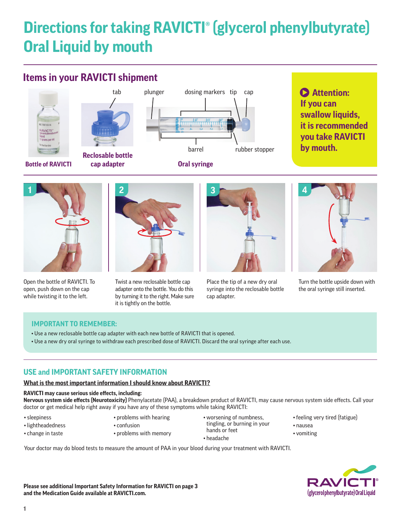# **Directions for taking RAVICTI® (glycerol phenylbutyrate) Oral Liquid by mouth**

# **Items in your RAVICTI shipment**



# **Attention: If you can swallow liquids, it is recommended you take RAVICTI by mouth.**



Open the bottle of RAVICTI. To open, push down on the cap while twisting it to the left.



Twist a new reclosable bottle cap adapter onto the bottle. You do this by turning it to the right. Make sure it is tightly on the bottle.



Place the tip of a new dry oral syringe into the reclosable bottle cap adapter.



Turn the bottle upside down with the oral syringe still inserted.

# **IMPORTANT TO REMEMBER:**

- Use a new reclosable bottle cap adapter with each new bottle of RAVICTI that is opened.
- Use a new dry oral syringe to withdraw each prescribed dose of RAVICTI. Discard the oral syringe after each use.

# **USE and IMPORTANT SAFETY INFORMATION**

# **What is the most important information I should know about RAVICTI?**

## **RAVICTI may cause serious side effects, including:**

**Nervous system side effects (Neurotoxicity)** Phenylacetate (PAA), a breakdown product of RAVICTI, may cause nervous system side effects. Call your doctor or get medical help right away if you have any of these symptoms while taking RAVICTI:

• sleepiness

• lightheadedness • change in taste

- problems with hearing
- confusion
- problems with memory
- worsening of numbness, tingling, or burning in your hands or feet • headache
- feeling very tired (fatigue)
- nausea
- vomiting

Your doctor may do blood tests to measure the amount of PAA in your blood during your treatment with RAVICTI.

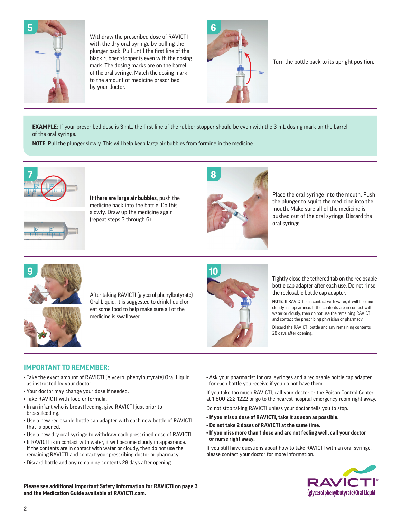

Withdraw the prescribed dose of RAVICTI with the dry oral syringe by pulling the plunger back. Pull until the first line of the black rubber stopper is even with the dosing mark. The dosing marks are on the barrel of the oral syringe. Match the dosing mark to the amount of medicine prescribed by your doctor.



Turn the bottle back to its upright position.

**EXAMPLE**: If your prescribed dose is 3 mL, the first line of the rubber stopper should be even with the 3-mL dosing mark on the barrel of the oral syringe.

**NOTE**: Pull the plunger slowly. This will help keep large air bubbles from forming in the medicine.



**If there are large air bubbles**, push the medicine back into the bottle. Do this slowly. Draw up the medicine again (repeat steps 3 through 6).



Place the oral syringe into the mouth. Push the plunger to squirt the medicine into the mouth. Make sure all of the medicine is pushed out of the oral syringe. Discard the oral syringe.



After taking RAVICTI (glycerol phenylbutyrate) Oral Liquid, it is suggested to drink liquid or eat some food to help make sure all of the medicine is swallowed.



Tightly close the tethered tab on the reclosable bottle cap adapter after each use. Do not rinse the reclosable bottle cap adapter.

**NOTE**: If RAVICTI is in contact with water, it will become cloudy in appearance. If the contents are in contact with water or cloudy, then do not use the remaining RAVICTI and contact the prescribing physician or pharmacy.

Discard the RAVICTI bottle and any remaining contents 28 days after opening.

# **IMPORTANT TO REMEMBER:**

- Take the exact amount of RAVICTI (glycerol phenylbutyrate) Oral Liquid as instructed by your doctor.
- Your doctor may change your dose if needed.
- Take RAVICTI with food or formula.
- In an infant who is breastfeeding, give RAVICTI just prior to breastfeeding.
- Use a new reclosable bottle cap adapter with each new bottle of RAVICTI that is opened.
- Use a new dry oral syringe to withdraw each prescribed dose of RAVICTI.
- If RAVICTI is in contact with water, it will become cloudy in appearance. If the contents are in contact with water or cloudy, then do not use the remaining RAVICTI and contact your prescribing doctor or pharmacy.
- Discard bottle and any remaining contents 28 days after opening.

• Ask your pharmacist for oral syringes and a reclosable bottle cap adapter for each bottle you receive if you do not have them.

If you take too much RAVICTI, call your doctor or the Poison Control Center at 1-800-222-1222 or go to the nearest hospital emergency room right away.

Do not stop taking RAVICTI unless your doctor tells you to stop.

- **If you miss a dose of RAVICTI, take it as soon as possible.**
- **Do not take 2 doses of RAVICTI at the same time.**
- **If you miss more than 1 dose and are not feeling well, call your doctor or nurse right away.**

If you still have questions about how to take RAVICTI with an oral syringe, please contact your doctor for more information.



**Please see additional Important Safety Information for RAVICTI on page 3 and the Medication Guide available at RAVICTI.com.**